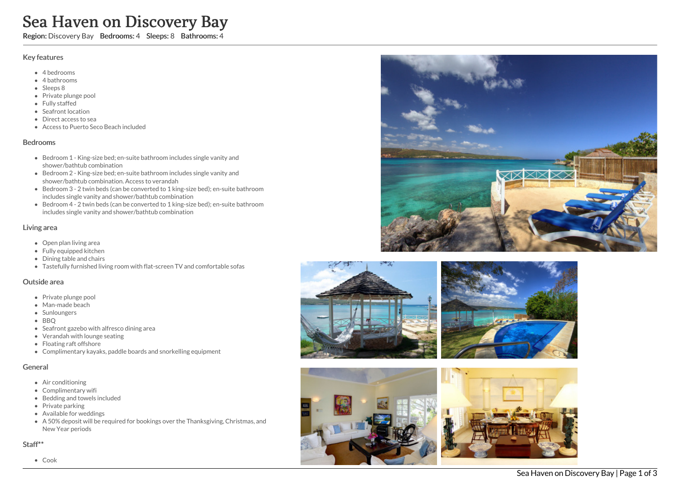# Sea Haven on Discovery Bay

Region: Discovery Bay Bedrooms: 4 Sleeps: 8 Bathrooms: 4

# Key features

- 4 b e d r o o m s
- 4 bathrooms
- Sleeps 8
- Private plunge pool
- Fully staffed
- Seafront location
- Direct access to sea
- Access to Puerto Seco Beach included

## **Bedrooms**

- Bedroom 1 King-size bed; en-suite bathroom includes single vanity and shower/bathtub combination
- Bedroom 2 King-size bed; en-suite bathroom includes single vanity and shower/bathtub combination. Access to verandah
- Bedroom 3 2 twin beds (can be converted to 1 king-size bed); en-suite bathroom includes single vanity and shower/bathtub combination
- Bedroom 4 2 twin beds (can be converted to 1 king-size bed); en-suite bathroom includes single vanity and shower/bathtub combination

# Living area

- Open plan living area
- Fully equipped kitchen
- Dining table and chairs
- Tastefully furnished living room with flat-screen TV and comfortable sofas

#### Outside area

- Private plunge pool
- Man-made beach
- Sunloungers
- BBQ
- Seafront gazebo with alfresco dining area
- Verandah with lounge seating
- Floating raft offshore
- Complimentary kayaks, paddle boards and snorkelling equipment

# General

- Air conditioning
- Complimentary wifi
- Bedding and towels in clu d e d
- Private parking
- Available for weddings
- A 50% deposit will be required for bookings over the Thanksgiving, Christmas, and New Year periods

# Staff\*\*





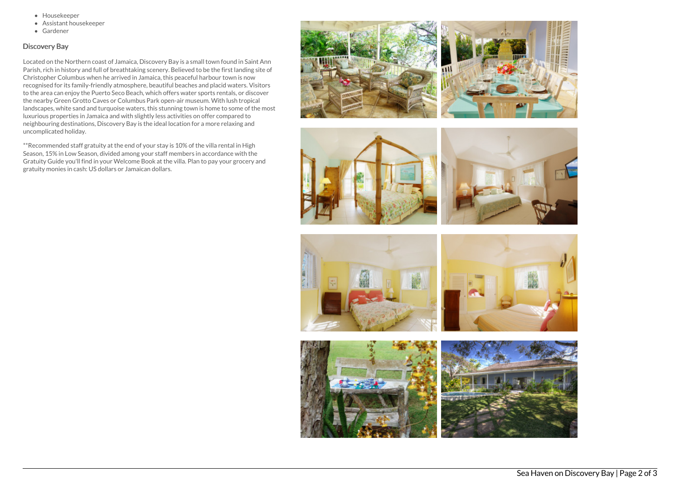- Housekeeper
- Assistant housekeeper
- Gardener

# Discovery Bay

Located on the Northern coast of Jamaica, Discovery Bay is a small town found in Saint Ann Parish, rich in history and full of breathtaking scenery. Believed to be the first landing site of Christopher Columbus when he arrived in Jamaica, this peaceful harbour town is now recognised for its family-friendly atmosphere, beautiful beaches and placid waters. Visitors to the area can enjoy the Puerto Seco Beach, which offers water sports rentals, or discover the nearby Green Grotto Caves or Columbus Park open-air museum. With lush tropical landscapes, white sand and turquoise waters, this stunning town is home to some of the most luxurious properties in Jamaica and with slightly less activities on offer compared to neighbouring destinations, Discovery Bay is the ideal location for a more relaxing and uncomplicated holiday.

\*\*Recommended staff gratuity at the end of your stay is 10% of the villa rental in High Season, 15% in Low Season, divided among your staff members in accordance with the Gratuity Guide you'll find in your Welcome Book at the villa. Plan to pay your grocery and gratuity monies in cash: US dollars or Jamaican dollars.